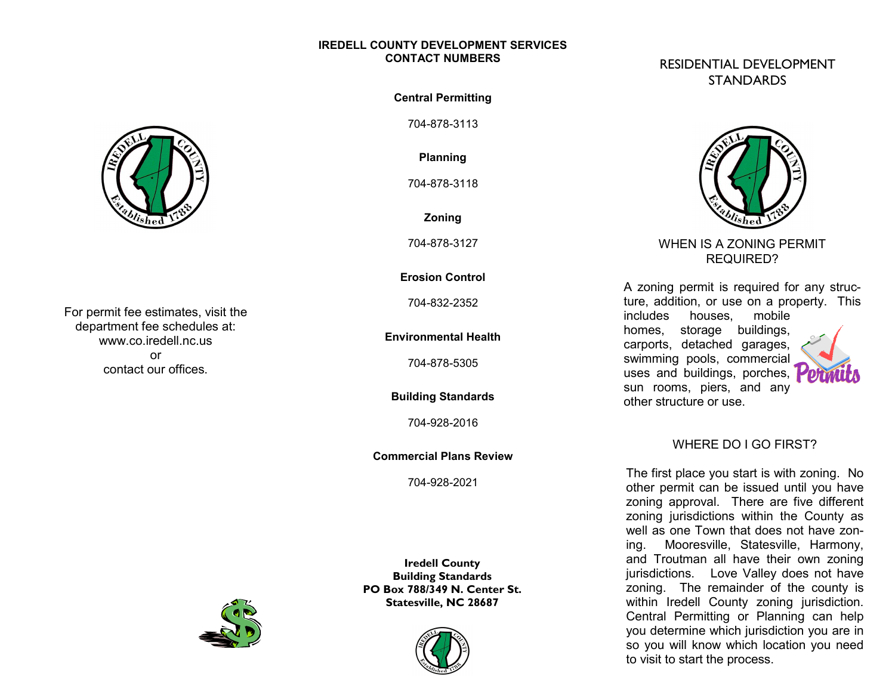#### **IREDELL COUNTY DEVELOPMENT SERVICES CONTACT NUMBERS**



For permit fee estimates, visit the department fee schedules at: www.co.iredell.nc.us Plumbing Permit \$15.00/fixture or trap\* contact our offices. or

**Central Permitting**

704-878-3113

**Planning**

704-878-3118

**Zoning**

704-878-3127

### **Erosion Control**

704-832-2352

**Environmental Health**

704-878-5305

**Building Standards**

704-928-2016

**Commercial Plans Review**

704-928-2021

**Iredell County Building Standards PO Box 788/349 N. Center St. Statesville, NC 28687**



# RESIDENTIAL DEVELOPMENT **STANDARDS**



# WHEN IS A ZONING PERMIT REQUIRED?

A zoning permit is required for any structure, addition, or use on a property. This includes houses, mobile homes, storage buildings, carports, detached garages, swimming pools, commercial

uses and buildings, porches, sun rooms, piers, and any

other structure or use.



# WHERE DO I GO FIRST?

The first place you start is with zoning. No other permit can be issued until you have zoning approval. There are five different zoning jurisdictions within the County as well as one Town that does not have zoning. Mooresville, Statesville, Harmony, and Troutman all have their own zoning jurisdictions. Love Valley does not have zoning. The remainder of the county is within Iredell County zoning jurisdiction. Central Permitting or Planning can help you determine which jurisdiction you are in so you will know which location you need to visit to start the process.